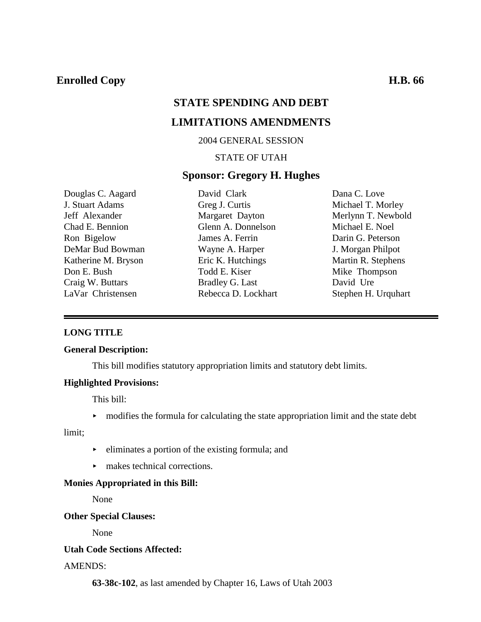# **STATE SPENDING AND DEBT**

# **LIMITATIONS AMENDMENTS**

#### 2004 GENERAL SESSION

### STATE OF UTAH

#### **Sponsor: Gregory H. Hughes**

Douglas C. Aagard J. Stuart Adams Jeff Alexander Chad E. Bennion Ron Bigelow DeMar Bud Bowman Katherine M. Bryson Don E. Bush Craig W. Buttars LaVar Christensen

David Clark Greg J. Curtis Margaret Dayton Glenn A. Donnelson James A. Ferrin Wayne A. Harper Eric K. Hutchings Todd E. Kiser Bradley G. Last Rebecca D. Lockhart Dana C. Love Michael T. Morley Merlynn T. Newbold Michael E. Noel Darin G. Peterson J. Morgan Philpot Martin R. Stephens Mike Thompson David Ure Stephen H. Urquhart

#### **LONG TITLE**

#### **General Description:**

This bill modifies statutory appropriation limits and statutory debt limits.

#### **Highlighted Provisions:**

This bill:

 $\rightarrow$  modifies the formula for calculating the state appropriation limit and the state debt

limit;

- $\blacktriangleright$  eliminates a portion of the existing formula; and
- $\blacktriangleright$  makes technical corrections.

#### **Monies Appropriated in this Bill:**

None

#### **Other Special Clauses:**

None

#### **Utah Code Sections Affected:**

#### AMENDS:

**63-38c-102**, as last amended by Chapter 16, Laws of Utah 2003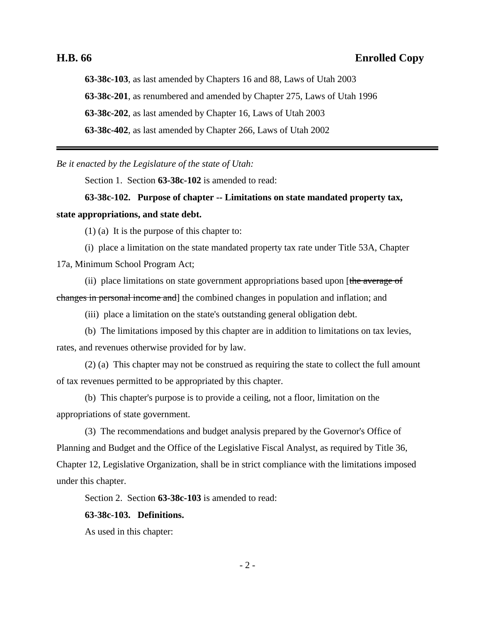**63-38c-103**, as last amended by Chapters 16 and 88, Laws of Utah 2003 **63-38c-201**, as renumbered and amended by Chapter 275, Laws of Utah 1996 **63-38c-202**, as last amended by Chapter 16, Laws of Utah 2003 **63-38c-402**, as last amended by Chapter 266, Laws of Utah 2002

*Be it enacted by the Legislature of the state of Utah:*

Section 1. Section **63-38c-102** is amended to read:

**63-38c-102. Purpose of chapter -- Limitations on state mandated property tax, state appropriations, and state debt.**

(1) (a) It is the purpose of this chapter to:

(i) place a limitation on the state mandated property tax rate under Title 53A, Chapter 17a, Minimum School Program Act;

(ii) place limitations on state government appropriations based upon [the average of changes in personal income and] the combined changes in population and inflation; and

(iii) place a limitation on the state's outstanding general obligation debt.

(b) The limitations imposed by this chapter are in addition to limitations on tax levies, rates, and revenues otherwise provided for by law.

(2) (a) This chapter may not be construed as requiring the state to collect the full amount of tax revenues permitted to be appropriated by this chapter.

(b) This chapter's purpose is to provide a ceiling, not a floor, limitation on the appropriations of state government.

(3) The recommendations and budget analysis prepared by the Governor's Office of Planning and Budget and the Office of the Legislative Fiscal Analyst, as required by Title 36, Chapter 12, Legislative Organization, shall be in strict compliance with the limitations imposed under this chapter.

Section 2. Section **63-38c-103** is amended to read:

#### **63-38c-103. Definitions.**

As used in this chapter: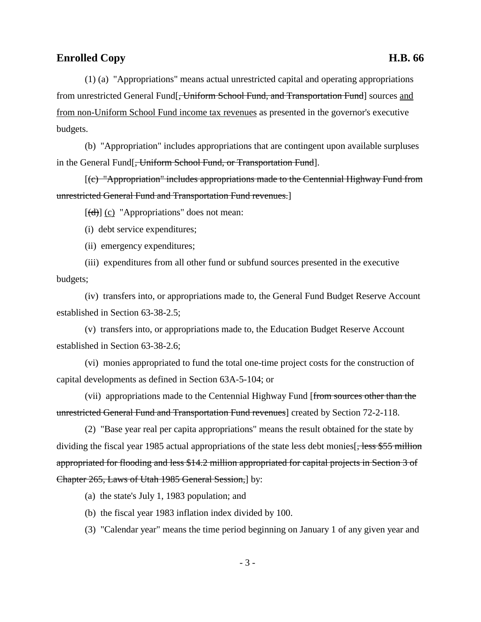(1) (a) "Appropriations" means actual unrestricted capital and operating appropriations from unrestricted General Fund[<del>, Uniform School Fund, and Transportation Fund</del>] sources and from non-Uniform School Fund income tax revenues as presented in the governor's executive budgets.

(b) "Appropriation" includes appropriations that are contingent upon available surpluses in the General Fund<sup>[</sup>, Uniform School Fund, or Transportation Fund].

[(c) "Appropriation" includes appropriations made to the Centennial Highway Fund from unrestricted General Fund and Transportation Fund revenues.]

 $[\frac{d}{d}]$  (c) "Appropriations" does not mean:

(i) debt service expenditures;

(ii) emergency expenditures;

(iii) expenditures from all other fund or subfund sources presented in the executive budgets;

(iv) transfers into, or appropriations made to, the General Fund Budget Reserve Account established in Section 63-38-2.5;

(v) transfers into, or appropriations made to, the Education Budget Reserve Account established in Section 63-38-2.6;

(vi) monies appropriated to fund the total one-time project costs for the construction of capital developments as defined in Section 63A-5-104; or

(vii) appropriations made to the Centennial Highway Fund [from sources other than the unrestricted General Fund and Transportation Fund revenues] created by Section 72-2-118.

(2) "Base year real per capita appropriations" means the result obtained for the state by dividing the fiscal year 1985 actual appropriations of the state less debt monies  $\frac{555 \text{ million}}{2000 \text{ million}}$ appropriated for flooding and less \$14.2 million appropriated for capital projects in Section 3 of Chapter 265, Laws of Utah 1985 General Session,] by:

(a) the state's July 1, 1983 population; and

(b) the fiscal year 1983 inflation index divided by 100.

(3) "Calendar year" means the time period beginning on January 1 of any given year and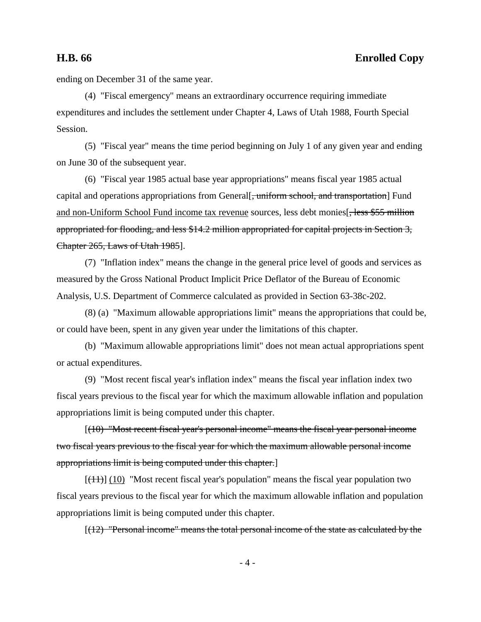ending on December 31 of the same year.

(4) "Fiscal emergency" means an extraordinary occurrence requiring immediate expenditures and includes the settlement under Chapter 4, Laws of Utah 1988, Fourth Special Session.

(5) "Fiscal year" means the time period beginning on July 1 of any given year and ending on June 30 of the subsequent year.

(6) "Fiscal year 1985 actual base year appropriations" means fiscal year 1985 actual capital and operations appropriations from General. uniform school, and transportation. Fund and non-Uniform School Fund income tax revenue sources, less debt monies. appropriated for flooding, and less \$14.2 million appropriated for capital projects in Section 3, Chapter 265, Laws of Utah 1985].

(7) "Inflation index" means the change in the general price level of goods and services as measured by the Gross National Product Implicit Price Deflator of the Bureau of Economic Analysis, U.S. Department of Commerce calculated as provided in Section 63-38c-202.

(8) (a) "Maximum allowable appropriations limit" means the appropriations that could be, or could have been, spent in any given year under the limitations of this chapter.

(b) "Maximum allowable appropriations limit" does not mean actual appropriations spent or actual expenditures.

(9) "Most recent fiscal year's inflation index" means the fiscal year inflation index two fiscal years previous to the fiscal year for which the maximum allowable inflation and population appropriations limit is being computed under this chapter.

[(10) "Most recent fiscal year's personal income" means the fiscal year personal income two fiscal years previous to the fiscal year for which the maximum allowable personal income appropriations limit is being computed under this chapter.]

 $[(11)]$  (10) "Most recent fiscal year's population" means the fiscal year population two fiscal years previous to the fiscal year for which the maximum allowable inflation and population appropriations limit is being computed under this chapter.

 $[(12)$  "Personal income" means the total personal income of the state as calculated by the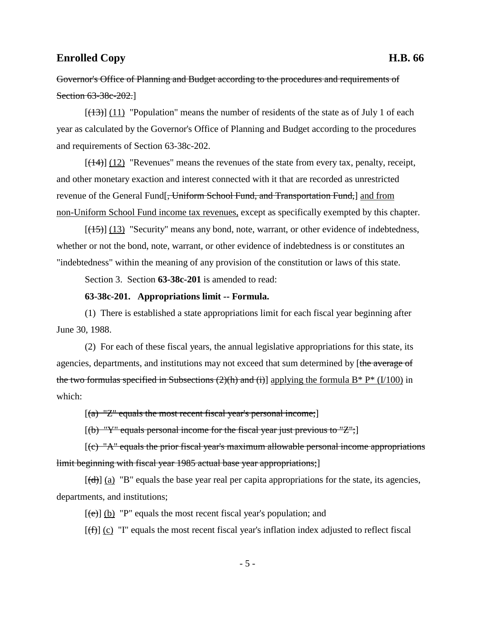Governor's Office of Planning and Budget according to the procedures and requirements of Section 63-38c-202.]

 $[(13)] (11)$  "Population" means the number of residents of the state as of July 1 of each year as calculated by the Governor's Office of Planning and Budget according to the procedures and requirements of Section 63-38c-202.

 $[(14)]$  (12) "Revenues" means the revenues of the state from every tax, penalty, receipt, and other monetary exaction and interest connected with it that are recorded as unrestricted revenue of the General Fund<sup>[-</sup>, Uniform School Fund, and Transportation Fund, and from non-Uniform School Fund income tax revenues, except as specifically exempted by this chapter.

 $[(15)]$  (13) "Security" means any bond, note, warrant, or other evidence of indebtedness, whether or not the bond, note, warrant, or other evidence of indebtedness is or constitutes an "indebtedness" within the meaning of any provision of the constitution or laws of this state.

Section 3. Section **63-38c-201** is amended to read:

#### **63-38c-201. Appropriations limit -- Formula.**

(1) There is established a state appropriations limit for each fiscal year beginning after June 30, 1988.

(2) For each of these fiscal years, the annual legislative appropriations for this state, its agencies, departments, and institutions may not exceed that sum determined by [the average of the two formulas specified in Subsections  $(2)(h)$  and  $(i)$ ] applying the formula B\* P\* (I/100) in which:

 $[(a)$  "Z" equals the most recent fiscal year's personal income;

 $[(b)$  "Y" equals personal income for the fiscal year just previous to "Z";

 $[(c)$  "A" equals the prior fiscal year's maximum allowable personal income appropriations limit beginning with fiscal year 1985 actual base year appropriations;

 $[\overline{(\mathbf{d})}]$  (a) "B" equals the base year real per capita appropriations for the state, its agencies, departments, and institutions;

 $[\text{e}\text{e}]$  (b) "P" equals the most recent fiscal year's population; and

 $[(f)$  (c) "I" equals the most recent fiscal year's inflation index adjusted to reflect fiscal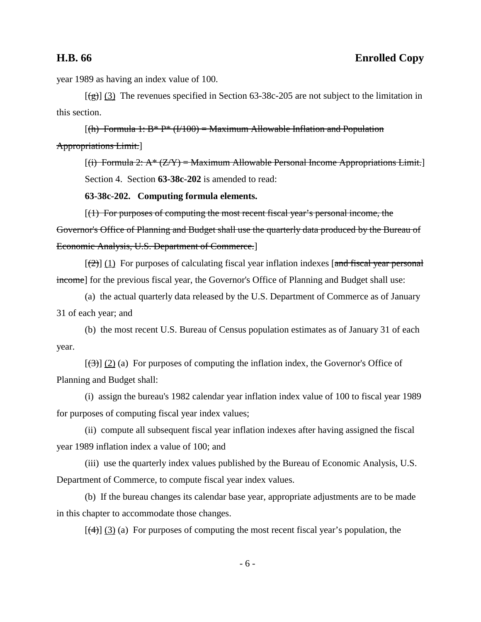year 1989 as having an index value of 100.

 $[(g)] (3)$  The revenues specified in Section 63-38c-205 are not subject to the limitation in this section.

 $[(h)$  Formula 1: B\* P\*  $(1/100)$  = Maximum Allowable Inflation and Population Appropriations Limit.]

 $[(i)$  Formula 2:  $A^*(Z/Y)$  = Maximum Allowable Personal Income Appropriations Limit. Section 4. Section **63-38c-202** is amended to read:

**63-38c-202. Computing formula elements.**

 $[(1)$  For purposes of computing the most recent fiscal year's personal income, the Governor's Office of Planning and Budget shall use the quarterly data produced by the Bureau of Economic Analysis, U.S. Department of Commerce.]

 $[\frac{1}{2}]$  (1) For purposes of calculating fiscal year inflation indexes [and fiscal year personal income] for the previous fiscal year, the Governor's Office of Planning and Budget shall use:

(a) the actual quarterly data released by the U.S. Department of Commerce as of January 31 of each year; and

(b) the most recent U.S. Bureau of Census population estimates as of January 31 of each year.

 $[\langle 3\rangle]$  (2) (a) For purposes of computing the inflation index, the Governor's Office of Planning and Budget shall:

(i) assign the bureau's 1982 calendar year inflation index value of 100 to fiscal year 1989 for purposes of computing fiscal year index values;

(ii) compute all subsequent fiscal year inflation indexes after having assigned the fiscal year 1989 inflation index a value of 100; and

(iii) use the quarterly index values published by the Bureau of Economic Analysis, U.S. Department of Commerce, to compute fiscal year index values.

(b) If the bureau changes its calendar base year, appropriate adjustments are to be made in this chapter to accommodate those changes.

 $[\frac{4}{3}]$  (3) (a) For purposes of computing the most recent fiscal year's population, the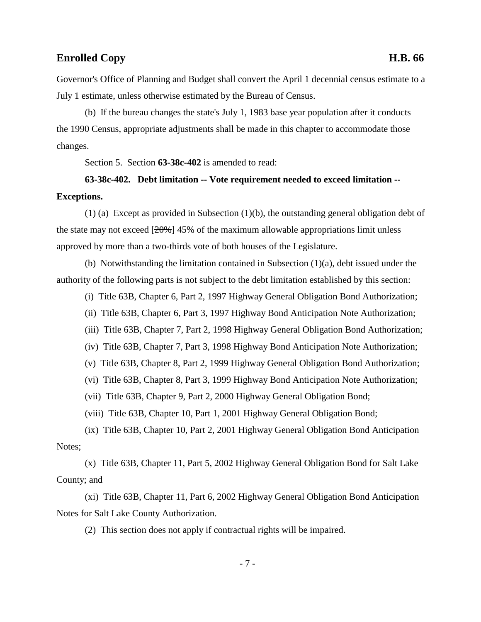Governor's Office of Planning and Budget shall convert the April 1 decennial census estimate to a July 1 estimate, unless otherwise estimated by the Bureau of Census.

(b) If the bureau changes the state's July 1, 1983 base year population after it conducts the 1990 Census, appropriate adjustments shall be made in this chapter to accommodate those changes.

Section 5. Section **63-38c-402** is amended to read:

## **63-38c-402. Debt limitation -- Vote requirement needed to exceed limitation -- Exceptions.**

(1) (a) Except as provided in Subsection (1)(b), the outstanding general obligation debt of the state may not exceed  $[20\%]$  45% of the maximum allowable appropriations limit unless approved by more than a two-thirds vote of both houses of the Legislature.

(b) Notwithstanding the limitation contained in Subsection (1)(a), debt issued under the authority of the following parts is not subject to the debt limitation established by this section:

(i) Title 63B, Chapter 6, Part 2, 1997 Highway General Obligation Bond Authorization;

(ii) Title 63B, Chapter 6, Part 3, 1997 Highway Bond Anticipation Note Authorization;

(iii) Title 63B, Chapter 7, Part 2, 1998 Highway General Obligation Bond Authorization;

(iv) Title 63B, Chapter 7, Part 3, 1998 Highway Bond Anticipation Note Authorization;

(v) Title 63B, Chapter 8, Part 2, 1999 Highway General Obligation Bond Authorization;

(vi) Title 63B, Chapter 8, Part 3, 1999 Highway Bond Anticipation Note Authorization;

(vii) Title 63B, Chapter 9, Part 2, 2000 Highway General Obligation Bond;

(viii) Title 63B, Chapter 10, Part 1, 2001 Highway General Obligation Bond;

(ix) Title 63B, Chapter 10, Part 2, 2001 Highway General Obligation Bond Anticipation Notes;

(x) Title 63B, Chapter 11, Part 5, 2002 Highway General Obligation Bond for Salt Lake County; and

(xi) Title 63B, Chapter 11, Part 6, 2002 Highway General Obligation Bond Anticipation Notes for Salt Lake County Authorization.

(2) This section does not apply if contractual rights will be impaired.